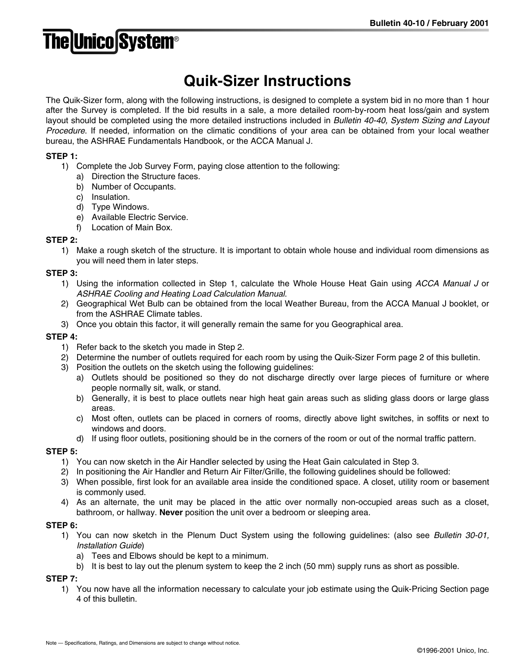# **The Unico System®**

# **Quik-Sizer Instructions**

The Quik-Sizer form, along with the following instructions, is designed to complete a system bid in no more than 1 hour after the Survey is completed. If the bid results in a sale, a more detailed room-by-room heat loss/gain and system layout should be completed using the more detailed instructions included in *Bulletin 40-40, System Sizing and Layout Procedure*. If needed, information on the climatic conditions of your area can be obtained from your local weather bureau, the ASHRAE Fundamentals Handbook, or the ACCA Manual J.

### **STEP 1:**

- 1) Complete the Job Survey Form, paying close attention to the following:
	- a) Direction the Structure faces.
	- b) Number of Occupants.
	- c) Insulation.
	- d) Type Windows.
	- e) Available Electric Service.
	- f) Location of Main Box.

#### **STEP 2:**

1) Make a rough sketch of the structure. It is important to obtain whole house and individual room dimensions as you will need them in later steps.

#### **STEP 3:**

- 1) Using the information collected in Step 1, calculate the Whole House Heat Gain using *ACCA Manual J* or *ASHRAE Cooling and Heating Load Calculation Manual*.
- 2) Geographical Wet Bulb can be obtained from the local Weather Bureau, from the ACCA Manual J booklet, or from the ASHRAE Climate tables.
- 3) Once you obtain this factor, it will generally remain the same for you Geographical area.

#### **STEP 4:**

- 1) Refer back to the sketch you made in Step 2.
- 2) Determine the number of outlets required for each room by using the Quik-Sizer Form page 2 of this bulletin.
- 3) Position the outlets on the sketch using the following guidelines:
	- a) Outlets should be positioned so they do not discharge directly over large pieces of furniture or where people normally sit, walk, or stand.
	- b) Generally, it is best to place outlets near high heat gain areas such as sliding glass doors or large glass areas.
	- c) Most often, outlets can be placed in corners of rooms, directly above light switches, in soffits or next to windows and doors.
	- d) If using floor outlets, positioning should be in the corners of the room or out of the normal traffic pattern.

#### **STEP 5:**

- 1) You can now sketch in the Air Handler selected by using the Heat Gain calculated in Step 3.
- 2) In positioning the Air Handler and Return Air Filter/Grille, the following guidelines should be followed:
- 3) When possible, first look for an available area inside the conditioned space. A closet, utility room or basement is commonly used.
- 4) As an alternate, the unit may be placed in the attic over normally non-occupied areas such as a closet, bathroom, or hallway. **Never** position the unit over a bedroom or sleeping area.

#### **STEP 6:**

- 1) You can now sketch in the Plenum Duct System using the following guidelines: (also see *Bulletin 30-01, Installation Guide*)
	- a) Tees and Elbows should be kept to a minimum.
	- b) It is best to lay out the plenum system to keep the 2 inch (50 mm) supply runs as short as possible.

**STEP 7:**

1) You now have all the information necessary to calculate your job estimate using the Quik-Pricing Section page 4 of this bulletin.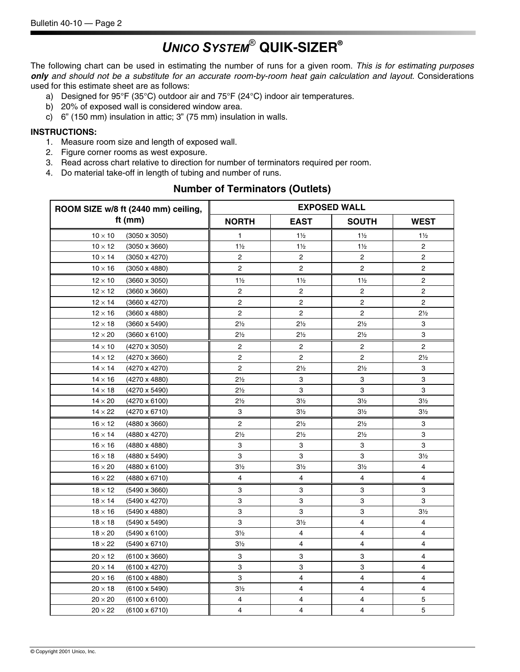# *UNICO SYSTEM*® **QUIK-SIZER®**

The following chart can be used in estimating the number of runs for a given room. *This is for estimating purposes only and should not be a substitute for an accurate room-by-room heat gain calculation and layout.* Considerations used for this estimate sheet are as follows:

- a) Designed for 95°F (35°C) outdoor air and 75°F (24°C) indoor air temperatures.
- b) 20% of exposed wall is considered window area.
- c) 6" (150 mm) insulation in attic; 3" (75 mm) insulation in walls.

#### **INSTRUCTIONS:**

- 1. Measure room size and length of exposed wall.
- 2. Figure corner rooms as west exposure.
- 3. Read across chart relative to direction for number of terminators required per room.
- 4. Do material take-off in length of tubing and number of runs.

### **Number of Terminators (Outlets)**

| ROOM SIZE w/8 ft (2440 mm) ceiling,    | <b>EXPOSED WALL</b>                                        |                         |                         |                |  |
|----------------------------------------|------------------------------------------------------------|-------------------------|-------------------------|----------------|--|
| ft $(mm)$                              | <b>NORTH</b><br><b>EAST</b><br><b>SOUTH</b><br><b>WEST</b> |                         |                         |                |  |
| $10 \times 10$<br>$(3050 \times 3050)$ | 1                                                          | $1\frac{1}{2}$          | $1\frac{1}{2}$          | $1\frac{1}{2}$ |  |
| $10 \times 12$<br>$(3050 \times 3660)$ | $1\frac{1}{2}$                                             | $1\frac{1}{2}$          | $1\frac{1}{2}$          | $\overline{c}$ |  |
| $10 \times 14$<br>$(3050 \times 4270)$ | 2                                                          | 2                       | $\overline{\mathbf{c}}$ | $\overline{c}$ |  |
| $10 \times 16$<br>$(3050 \times 4880)$ | 2                                                          | 2                       | $\overline{c}$          | $\overline{c}$ |  |
| $12 \times 10$<br>$(3660 \times 3050)$ | $1\frac{1}{2}$                                             | $1\frac{1}{2}$          | $1\frac{1}{2}$          | 2              |  |
| $12 \times 12$<br>$(3660 \times 3660)$ | 2                                                          | $\overline{2}$          | $\mathbf 2$             | $\overline{c}$ |  |
| $12 \times 14$<br>$(3660 \times 4270)$ | 2                                                          | 2                       | $\overline{c}$          | $\overline{c}$ |  |
| $12 \times 16$<br>$(3660 \times 4880)$ | 2                                                          | 2                       | $\overline{c}$          | $2\frac{1}{2}$ |  |
| $12 \times 18$<br>$(3660 \times 5490)$ | $2\frac{1}{2}$                                             | $2\frac{1}{2}$          | $2\frac{1}{2}$          | 3              |  |
| $12 \times 20$<br>$(3660 \times 6100)$ | $2\frac{1}{2}$                                             | $2\frac{1}{2}$          | $2\frac{1}{2}$          | 3              |  |
| (4270 x 3050)<br>$14 \times 10$        | 2                                                          | $\overline{2}$          | $\overline{c}$          | $\overline{c}$ |  |
| $14 \times 12$<br>$(4270 \times 3660)$ | 2                                                          | 2                       | $\overline{c}$          | $2\frac{1}{2}$ |  |
| $14 \times 14$<br>(4270 x 4270)        | 2                                                          | $2\frac{1}{2}$          | $2\frac{1}{2}$          | 3              |  |
| $14 \times 16$<br>$(4270 \times 4880)$ | $2\frac{1}{2}$                                             | 3                       | 3                       | 3              |  |
| $14 \times 18$<br>(4270 x 5490)        | $2\frac{1}{2}$                                             | 3                       | 3                       | 3              |  |
| $14 \times 20$<br>$(4270 \times 6100)$ | $2\frac{1}{2}$                                             | $3\frac{1}{2}$          | 3 <sub>2</sub>          | $3\frac{1}{2}$ |  |
| $14 \times 22$<br>(4270 x 6710)        | 3                                                          | $3\frac{1}{2}$          | $3\frac{1}{2}$          | $3\frac{1}{2}$ |  |
| $16 \times 12$<br>$(4880 \times 3660)$ | 2                                                          | $2\frac{1}{2}$          | $2\frac{1}{2}$          | 3              |  |
| $16 \times 14$<br>$(4880 \times 4270)$ | $2\frac{1}{2}$                                             | $2\frac{1}{2}$          | $2\frac{1}{2}$          | 3              |  |
| (4880 x 4880)<br>$16 \times 16$        | 3                                                          | 3                       | 3                       | 3              |  |
| $16 \times 18$<br>$(4880 \times 5490)$ | 3                                                          | 3                       | 3                       | 3 <sub>2</sub> |  |
| $16 \times 20$<br>(4880 x 6100)        | $3\frac{1}{2}$                                             | $3\frac{1}{2}$          | $3\frac{1}{2}$          | 4              |  |
| $16 \times 22$<br>(4880 x 6710)        | 4                                                          | 4                       | 4                       | 4              |  |
| $18 \times 12$<br>$(5490 \times 3660)$ | 3                                                          | 3                       | 3                       | 3              |  |
| $18 \times 14$<br>(5490 x 4270)        | 3                                                          | 3                       | 3                       | 3              |  |
| $18 \times 16$<br>$(5490 \times 4880)$ | 3                                                          | 3                       | 3                       | 3 <sub>2</sub> |  |
| $18 \times 18$<br>$(5490 \times 5490)$ | 3                                                          | $3\frac{1}{2}$          | $\overline{\mathbf{4}}$ | 4              |  |
| $18 \times 20$<br>$(5490 \times 6100)$ | $3\frac{1}{2}$                                             | 4                       | 4                       | 4              |  |
| $18 \times 22$<br>(5490 x 6710)        | $3\frac{1}{2}$                                             | 4                       | 4                       | 4              |  |
| $20 \times 12$<br>$(6100 \times 3660)$ | 3                                                          | 3                       | 3                       | 4              |  |
| $20 \times 14$<br>$(6100 \times 4270)$ | 3                                                          | 3                       | 3                       | 4              |  |
| $20 \times 16$<br>$(6100 \times 4880)$ | 3                                                          | 4                       | $\overline{4}$          | 4              |  |
| $20 \times 18$<br>$(6100 \times 5490)$ | 3½                                                         | 4                       | 4                       | 4              |  |
| $20 \times 20$<br>$(6100 \times 6100)$ | 4                                                          | 4                       | 4                       | 5              |  |
| $20 \times 22$<br>$(6100 \times 6710)$ | 4                                                          | $\overline{\mathbf{4}}$ | 4                       | 5              |  |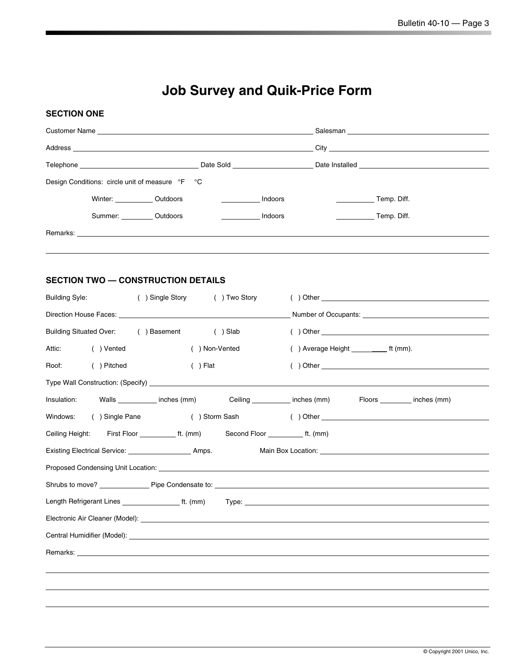# **Job Survey and Quik-Price Form**

### **SECTION ONE**

| <b>Customer Name Customer Name</b>                                                                                                                                                                                             |  |         |                                                                                         |
|--------------------------------------------------------------------------------------------------------------------------------------------------------------------------------------------------------------------------------|--|---------|-----------------------------------------------------------------------------------------|
| Address and the contract of the contract of the contract of the contract of the contract of the contract of the contract of the contract of the contract of the contract of the contract of the contract of the contract of th |  |         |                                                                                         |
|                                                                                                                                                                                                                                |  |         | Telephone example and the state of the Date Sold Contract Date Installed Date Installed |
| Design Conditions: circle unit of measure °F °C                                                                                                                                                                                |  |         |                                                                                         |
| Winter: Outdoors                                                                                                                                                                                                               |  | Indoors | Temp. Diff.                                                                             |
| Summer: Outdoors                                                                                                                                                                                                               |  | Indoors | Temp. Diff.                                                                             |
|                                                                                                                                                                                                                                |  |         |                                                                                         |

## **SECTION TWO — CONSTRUCTION DETAILS**

| <b>Building Syle:</b>             | () Single Story () Two Story                |                                                                                                 | $($ ) Other $\overline{ }$                                                                                                                                                                                                           |
|-----------------------------------|---------------------------------------------|-------------------------------------------------------------------------------------------------|--------------------------------------------------------------------------------------------------------------------------------------------------------------------------------------------------------------------------------------|
|                                   |                                             |                                                                                                 |                                                                                                                                                                                                                                      |
|                                   | Building Situated Over: () Basement () Slab |                                                                                                 | $( ) Other _______$                                                                                                                                                                                                                  |
| Attic: <b>Attic</b><br>( ) Vented | () Non-Vented                               |                                                                                                 | () Average Height _____________ ft (mm).                                                                                                                                                                                             |
| ( ) Pitched<br>Roof:              | $( )$ Flat                                  |                                                                                                 | $( )$ Other $\_$                                                                                                                                                                                                                     |
|                                   |                                             |                                                                                                 |                                                                                                                                                                                                                                      |
|                                   |                                             | Insulation: Walls _________ inches (mm) Ceiling ________ inches (mm) Floors _______ inches (mm) |                                                                                                                                                                                                                                      |
| Windows:<br>( ) Single Pane       |                                             |                                                                                                 |                                                                                                                                                                                                                                      |
|                                   |                                             | Ceiling Height: First Floor __________ ft. (mm) Second Floor __________ ft. (mm)                |                                                                                                                                                                                                                                      |
|                                   |                                             |                                                                                                 | Main Box Location: We have a state of the state of the state of the state of the state of the state of the state of the state of the state of the state of the state of the state of the state of the state of the state of th       |
|                                   |                                             |                                                                                                 |                                                                                                                                                                                                                                      |
|                                   |                                             |                                                                                                 |                                                                                                                                                                                                                                      |
|                                   |                                             |                                                                                                 |                                                                                                                                                                                                                                      |
|                                   |                                             |                                                                                                 |                                                                                                                                                                                                                                      |
|                                   |                                             |                                                                                                 | Central Humidifier (Model): <u>example and the set of the set of the set of the set of the set of the set of the set of the set of the set of the set of the set of the set of the set of the set of the set of the set of the s</u> |
|                                   |                                             |                                                                                                 | Remarks: <u>example and contract and contract and contract and contract and contract and contract and contract and contract and contract and contract and contract and contract and contract and contract and contract and contr</u> |
|                                   |                                             |                                                                                                 |                                                                                                                                                                                                                                      |
|                                   |                                             |                                                                                                 |                                                                                                                                                                                                                                      |
|                                   |                                             |                                                                                                 |                                                                                                                                                                                                                                      |